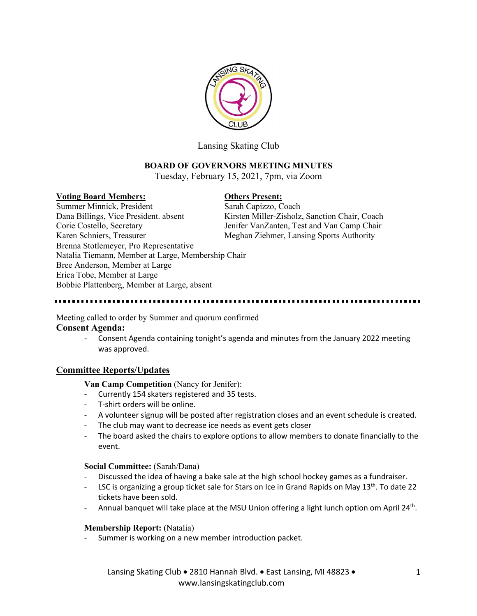

Lansing Skating Club

# **BOARD OF GOVERNORS MEETING MINUTES**

Tuesday, February 15, 2021, 7pm, via Zoom

## **Voting Board Members: Others Present:**

Summer Minnick, President Sarah Capizzo, Coach Dana Billings, Vice President. absent Kirsten Miller-Zisholz, Sanction Chair, Coach Corie Costello, Secretary Jenifer VanZanten, Test and Van Camp Chair Karen Schniers, Treasurer Meghan Ziehmer, Lansing Sports Authority Brenna Stotlemeyer, Pro Representative Natalia Tiemann, Member at Large, Membership Chair Bree Anderson, Member at Large Erica Tobe, Member at Large Bobbie Plattenberg, Member at Large, absent

Meeting called to order by Summer and quorum confirmed **Consent Agenda:**

> - Consent Agenda containing tonight's agenda and minutes from the January 2022 meeting was approved.

# **Committee Reports/Updates**

**Van Camp Competition** (Nancy for Jenifer):

- Currently 154 skaters registered and 35 tests.
- T-shirt orders will be online.
- A volunteer signup will be posted after registration closes and an event schedule is created.
- The club may want to decrease ice needs as event gets closer
- The board asked the chairs to explore options to allow members to donate financially to the event.

## **Social Committee:** (Sarah/Dana)

- Discussed the idea of having a bake sale at the high school hockey games as a fundraiser.
- LSC is organizing a group ticket sale for Stars on Ice in Grand Rapids on May 13<sup>th</sup>. To date 22 tickets have been sold.
- Annual banquet will take place at the MSU Union offering a light lunch option om April 24<sup>th</sup>.

## **Membership Report:** (Natalia)

Summer is working on a new member introduction packet.